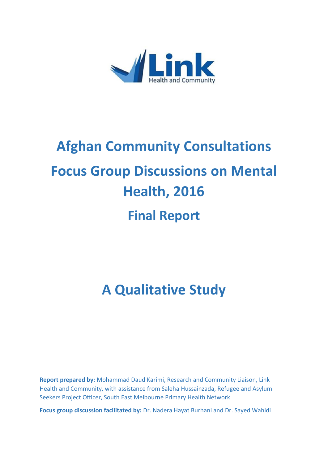

# **Afghan Community Consultations Focus Group Discussions on Mental Health, 2016 Final Report**

# **A Qualitative Study**

**Report prepared by:** Mohammad Daud Karimi, Research and Community Liaison, Link Health and Community, with assistance from Saleha Hussainzada, Refugee and Asylum Seekers Project Officer, South East Melbourne Primary Health Network

**Focus group discussion facilitated by:** Dr. Nadera Hayat Burhani and Dr. Sayed Wahidi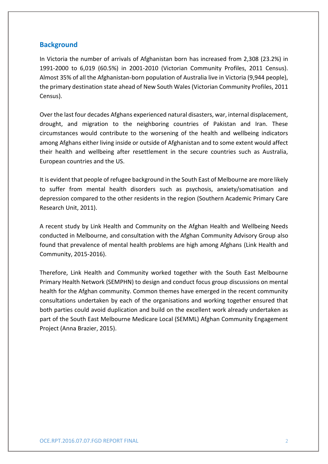# **Background**

In Victoria the number of arrivals of Afghanistan born has increased from 2,308 (23.2%) in 1991-2000 to 6,019 (60.5%) in 2001-2010 (Victorian Community Profiles, 2011 Census). Almost 35% of all the Afghanistan-born population of Australia live in Victoria (9,944 people), the primary destination state ahead of New South Wales (Victorian Community Profiles, 2011 Census).

Over the last four decades Afghans experienced natural disasters, war, internal displacement, drought, and migration to the neighboring countries of Pakistan and Iran. These circumstances would contribute to the worsening of the health and wellbeing indicators among Afghans either living inside or outside of Afghanistan and to some extent would affect their health and wellbeing after resettlement in the secure countries such as Australia, European countries and the US.

It is evident that people of refugee background in the South East of Melbourne are more likely to suffer from mental health disorders such as psychosis, anxiety/somatisation and depression compared to the other residents in the region (Southern Academic Primary Care Research Unit, 2011).

A recent study by Link Health and Community on the Afghan Health and Wellbeing Needs conducted in Melbourne, and consultation with the Afghan Community Advisory Group also found that prevalence of mental health problems are high among Afghans (Link Health and Community, 2015-2016).

Therefore, Link Health and Community worked together with the South East Melbourne Primary Health Network (SEMPHN) to design and conduct focus group discussions on mental health for the Afghan community. Common themes have emerged in the recent community consultations undertaken by each of the organisations and working together ensured that both parties could avoid duplication and build on the excellent work already undertaken as part of the South East Melbourne Medicare Local (SEMML) Afghan Community Engagement Project (Anna Brazier, 2015).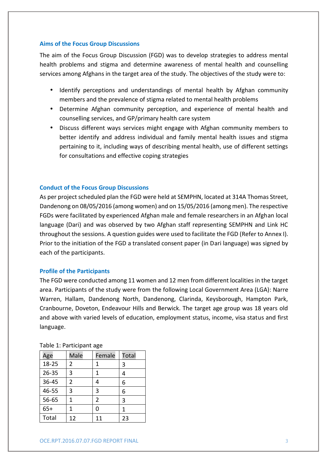#### **Aims of the Focus Group Discussions**

The aim of the Focus Group Discussion (FGD) was to develop strategies to address mental health problems and stigma and determine awareness of mental health and counselling services among Afghans in the target area of the study. The objectives of the study were to:

- Identify perceptions and understandings of mental health by Afghan community members and the prevalence of stigma related to mental health problems
- Determine Afghan community perception, and experience of mental health and counselling services, and GP/primary health care system
- Discuss different ways services might engage with Afghan community members to better identify and address individual and family mental health issues and stigma pertaining to it, including ways of describing mental health, use of different settings for consultations and effective coping strategies

#### **Conduct of the Focus Group Discussions**

As per project scheduled plan the FGD were held at SEMPHN, located at 314A Thomas Street, Dandenong on 08/05/2016 (among women) and on 15/05/2016 (among men). The respective FGDs were facilitated by experienced Afghan male and female researchers in an Afghan local language (Dari) and was observed by two Afghan staff representing SEMPHN and Link HC throughout the sessions. A question guides were used to facilitate the FGD (Refer to Annex I). Prior to the initiation of the FGD a translated consent paper (in Dari language) was signed by each of the participants.

#### **Profile of the Participants**

The FGD were conducted among 11 women and 12 men from different localities in the target area. Participants of the study were from the following Local Government Area (LGA): Narre Warren, Hallam, Dandenong North, Dandenong, Clarinda, Keysborough, Hampton Park, Cranbourne, Doveton, Endeavour Hills and Berwick. The target age group was 18 years old and above with varied levels of education, employment status, income, visa status and first language.

| Age       | Male           | Female | Total |
|-----------|----------------|--------|-------|
| $18 - 25$ | 2              | 1      | 3     |
| $26 - 35$ | 3              | 1      |       |
| 36-45     | $\overline{2}$ |        | 6     |
| 46-55     | 3              | 3      | 6     |
| 56-65     | 1              | 2      | 3     |
| $65+$     | 1              |        | 1     |
| Total     | 12             | 11     | 23    |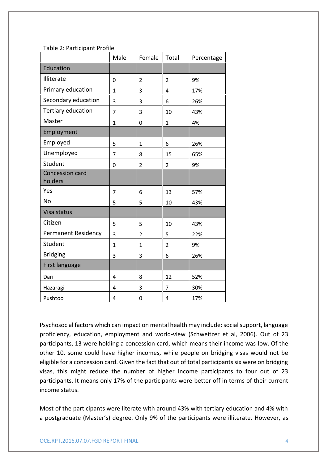| Table 2: Participant Profile |  |
|------------------------------|--|
|------------------------------|--|

|                                   | Male           | Female           | Total          | Percentage |
|-----------------------------------|----------------|------------------|----------------|------------|
| Education                         |                |                  |                |            |
| Illiterate                        | $\mathbf 0$    | $\overline{2}$   | $\overline{2}$ | 9%         |
| Primary education                 | $\mathbf{1}$   | $\overline{3}$   | 4              | 17%        |
| Secondary education               | 3              | 3                | 6              | 26%        |
| Tertiary education                | $\overline{7}$ | 3                | 10             | 43%        |
| Master                            | $\mathbf{1}$   | $\mathbf 0$      | $\mathbf{1}$   | 4%         |
| Employment                        |                |                  |                |            |
| Employed                          | 5              | $\mathbf{1}$     | 6              | 26%        |
| Unemployed                        | $\overline{7}$ | 8                | 15             | 65%        |
| Student                           | 0              | $\overline{2}$   | $\overline{2}$ | 9%         |
| <b>Concession card</b><br>holders |                |                  |                |            |
| Yes                               | $\overline{7}$ | 6                | 13             | 57%        |
| <b>No</b>                         | 5              | 5                | 10             | 43%        |
| Visa status                       |                |                  |                |            |
| Citizen                           | 5              | 5                | 10             | 43%        |
| Permanent Residency               | 3              | $\overline{2}$   | 5              | 22%        |
| Student                           | $\mathbf{1}$   | $\mathbf{1}$     | $\overline{2}$ | 9%         |
| <b>Bridging</b>                   | 3              | 3                | 6              | 26%        |
| First language                    |                |                  |                |            |
| Dari                              | 4              | 8                | 12             | 52%        |
| Hazaragi                          | 4              | 3                | 7              | 30%        |
| Pushtoo                           | 4              | $\boldsymbol{0}$ | 4              | 17%        |

Psychosocial factors which can impact on mental health may include: social support, language proficiency, education, employment and world-view (Schweitzer et al, 2006). Out of 23 participants, 13 were holding a concession card, which means their income was low. Of the other 10, some could have higher incomes, while people on bridging visas would not be eligible for a concession card. Given the fact that out of total participants six were on bridging visas, this might reduce the number of higher income participants to four out of 23 participants. It means only 17% of the participants were better off in terms of their current income status.

Most of the participants were literate with around 43% with tertiary education and 4% with a postgraduate (Master's) degree. Only 9% of the participants were illiterate. However, as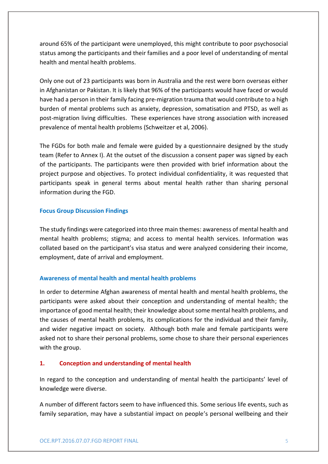around 65% of the participant were unemployed, this might contribute to poor psychosocial status among the participants and their families and a poor level of understanding of mental health and mental health problems.

Only one out of 23 participants was born in Australia and the rest were born overseas either in Afghanistan or Pakistan. It is likely that 96% of the participants would have faced or would have had a person in their family facing pre-migration trauma that would contribute to a high burden of mental problems such as anxiety, depression, somatisation and PTSD, as well as post-migration living difficulties. These experiences have strong association with increased prevalence of mental health problems (Schweitzer et al, 2006).

The FGDs for both male and female were guided by a questionnaire designed by the study team (Refer to Annex I). At the outset of the discussion a consent paper was signed by each of the participants. The participants were then provided with brief information about the project purpose and objectives. To protect individual confidentiality, it was requested that participants speak in general terms about mental health rather than sharing personal information during the FGD.

#### **Focus Group Discussion Findings**

The study findings were categorized into three main themes: awareness of mental health and mental health problems; stigma; and access to mental health services. Information was collated based on the participant's visa status and were analyzed considering their income, employment, date of arrival and employment.

# **Awareness of mental health and mental health problems**

In order to determine Afghan awareness of mental health and mental health problems, the participants were asked about their conception and understanding of mental health; the importance of good mental health; their knowledge about some mental health problems, and the causes of mental health problems, its complications for the individual and their family, and wider negative impact on society. Although both male and female participants were asked not to share their personal problems, some chose to share their personal experiences with the group.

#### **1. Conception and understanding of mental health**

In regard to the conception and understanding of mental health the participants' level of knowledge were diverse.

A number of different factors seem to have influenced this. Some serious life events, such as family separation, may have a substantial impact on people's personal wellbeing and their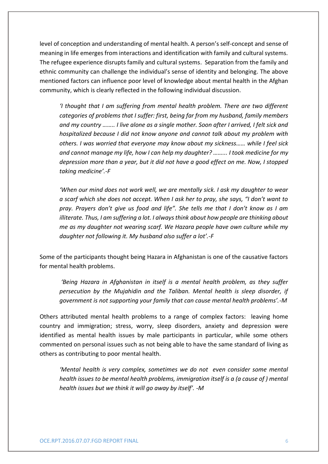level of conception and understanding of mental health. A person's self-concept and sense of meaning in life emerges from interactions and identification with family and cultural systems. The refugee experience disrupts family and cultural systems. Separation from the family and ethnic community can challenge the individual's sense of identity and belonging. The above mentioned factors can influence poor level of knowledge about mental health in the Afghan community, which is clearly reflected in the following individual discussion.

*'I thought that I am suffering from mental health problem. There are two different categories of problems that I suffer: first, being far from my husband, family members and my country …….. I live alone as a single mother. Soon after I arrived, I felt sick and hospitalized because I did not know anyone and cannot talk about my problem with others. I was worried that everyone may know about my sickness…… while I feel sick and cannot manage my life, how I can help my daughter? ……... I took medicine for my depression more than a year, but it did not have a good effect on me. Now, I stopped taking medicine'.-F*

*'When our mind does not work well, we are mentally sick. I ask my daughter to wear a scarf which she does not accept. When I ask her to pray, she says, "I don't want to pray. Prayers don't give us food and life". She tells me that I don't know as I am illiterate. Thus, I am suffering a lot. I always think about how people are thinking about me as my daughter not wearing scarf. We Hazara people have own culture while my daughter not following it. My husband also suffer a lot'.-F*

Some of the participants thought being Hazara in Afghanistan is one of the causative factors for mental health problems.

*'Being Hazara in Afghanistan in itself is a mental health problem, as they suffer persecution by the Mujahidin and the Taliban. Mental health is sleep disorder, if government is not supporting your family that can cause mental health problems'.-M*

Others attributed mental health problems to a range of complex factors: leaving home country and immigration; stress, worry, sleep disorders, anxiety and depression were identified as mental health issues by male participants in particular, while some others commented on personal issues such as not being able to have the same standard of living as others as contributing to poor mental health.

*'Mental health is very complex, sometimes we do not even consider some mental health issues to be mental health problems, immigration itself is a (a cause of ) mental health issues but we think it will go away by itself'. -M*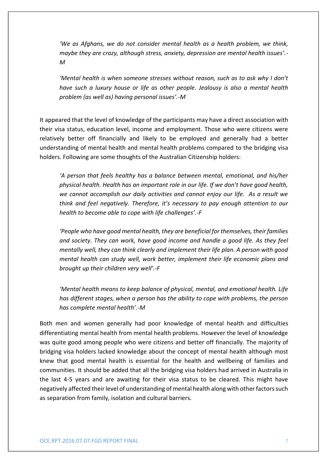*'We as Afghans, we do not consider mental health as a health problem, we think, maybe they are crazy, although stress, anxiety, depression are mental health issues'.- M*

*'Mental health is when someone stresses without reason, such as to ask why I don't have such a luxury house or life as other people. Jealousy is also a mental health problem (as well as) having personal issues'.-M*

It appeared that the level of knowledge of the participants may have a direct association with their visa status, education level, income and employment. Those who were citizens were relatively better off financially and likely to be employed and generally had a better understanding of mental health and mental health problems compared to the bridging visa holders. Following are some thoughts of the Australian Citizenship holders:

*'A person that feels healthy has a balance between mental, emotional, and his/her physical health. Health has an important role in our life. If we don't have good health, we cannot accomplish our daily activities and cannot enjoy our life. As a result we think and feel negatively. Therefore, it's necessary to pay enough attention to our health to become able to cope with life challenges'.-F*

*'People who have good mental health, they are beneficial for themselves, their families and society. They can work, have good income and handle a good life. As they feel mentally well, they can think clearly and implement their life plan. A person with good mental health can study well, work better, implement their life economic plans and brought up their children very well'.-F*

*'Mental health means to keep balance of physical, mental, and emotional health. Life has different stages, when a person has the ability to cope with problems, the person has complete mental health'.-M*

Both men and women generally had poor knowledge of mental health and difficulties differentiating mental health from mental health problems. However the level of knowledge was quite good among people who were citizens and better off financially. The majority of bridging visa holders lacked knowledge about the concept of mental health although most knew that good mental health is essential for the health and wellbeing of families and communities. It should be added that all the bridging visa holders had arrived in Australia in the last 4-5 years and are awaiting for their visa status to be cleared. This might have negatively affected their level of understanding of mental health along with other factors such as separation from family, isolation and cultural barriers.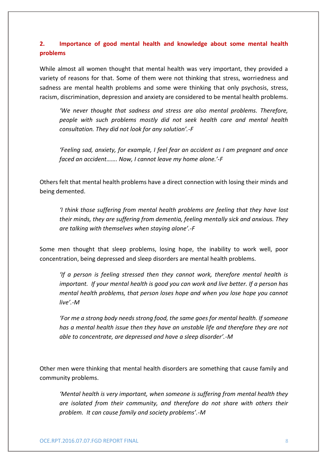# **2. Importance of good mental health and knowledge about some mental health problems**

While almost all women thought that mental health was very important, they provided a variety of reasons for that. Some of them were not thinking that stress, worriedness and sadness are mental health problems and some were thinking that only psychosis, stress, racism, discrimination, depression and anxiety are considered to be mental health problems.

*'We never thought that sadness and stress are also mental problems. Therefore, people with such problems mostly did not seek health care and mental health consultation. They did not look for any solution'.-F*

*'Feeling sad, anxiety, for example, I feel fear an accident as I am pregnant and once faced an accident……. Now, I cannot leave my home alone.'-F*

Others felt that mental health problems have a direct connection with losing their minds and being demented.

*'I think those suffering from mental health problems are feeling that they have lost their minds, they are suffering from dementia, feeling mentally sick and anxious. They are talking with themselves when staying alone'.-F*

Some men thought that sleep problems, losing hope, the inability to work well, poor concentration, being depressed and sleep disorders are mental health problems.

*'If a person is feeling stressed then they cannot work, therefore mental health is important. If your mental health is good you can work and live better. If a person has mental health problems, that person loses hope and when you lose hope you cannot live'.-M*

*'For me a strong body needs strong food, the same goes for mental health. If someone has a mental health issue then they have an unstable life and therefore they are not able to concentrate, are depressed and have a sleep disorder'.-M*

Other men were thinking that mental health disorders are something that cause family and community problems.

*'Mental health is very important, when someone is suffering from mental health they are isolated from their community, and therefore do not share with others their problem. It can cause family and society problems'.-M*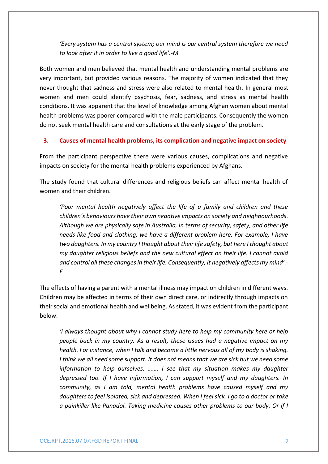*'Every system has a central system; our mind is our central system therefore we need to look after it in order to live a good life'.-M*

Both women and men believed that mental health and understanding mental problems are very important, but provided various reasons. The majority of women indicated that they never thought that sadness and stress were also related to mental health. In general most women and men could identify psychosis, fear, sadness, and stress as mental health conditions. It was apparent that the level of knowledge among Afghan women about mental health problems was poorer compared with the male participants. Consequently the women do not seek mental health care and consultations at the early stage of the problem.

# **3. Causes of mental health problems, its complication and negative impact on society**

From the participant perspective there were various causes, complications and negative impacts on society for the mental health problems experienced by Afghans.

The study found that cultural differences and religious beliefs can affect mental health of women and their children.

*'Poor mental health negatively affect the life of a family and children and these children's behaviours have their own negative impacts on society and neighbourhoods. Although we are physically safe in Australia, in terms of security, safety, and other life needs like food and clothing, we have a different problem here. For example, I have two daughters. In my country I thought about their life safety, but here I thought about my daughter religious beliefs and the new cultural effect on their life. I cannot avoid and control all these changes in their life. Consequently, it negatively affects my mind'.- F*

The effects of having a parent with a mental illness may impact on children in different ways. Children may be affected in terms of their own direct care, or indirectly through impacts on their social and emotional health and wellbeing. As stated, it was evident from the participant below.

*'I always thought about why I cannot study here to help my community here or help people back in my country. As a result, these issues had a negative impact on my health. For instance, when I talk and become a little nervous all of my body is shaking. I think we all need some support. It does not means that we are sick but we need some information to help ourselves. ……. I see that my situation makes my daughter depressed too. If I have information, I can support myself and my daughters. In community, as I am told, mental health problems have caused myself and my daughters to feel isolated, sick and depressed. When I feel sick, I go to a doctor or take a painkiller like Panadol. Taking medicine causes other problems to our body. Or if I*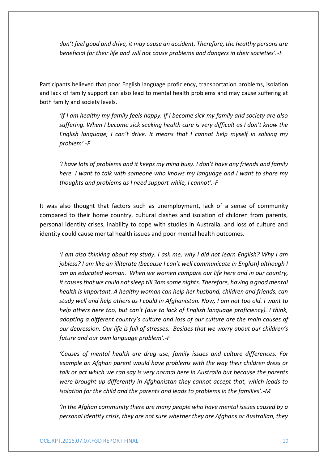*don't feel good and drive, it may cause an accident. Therefore, the healthy persons are beneficial for their life and will not cause problems and dangers in their societies'.-F*

Participants believed that poor English language proficiency, transportation problems, isolation and lack of family support can also lead to mental health problems and may cause suffering at both family and society levels.

*'If I am healthy my family feels happy. If I become sick my family and society are also suffering. When I become sick seeking health care is very difficult as I don't know the English language, I can't drive. It means that I cannot help myself in solving my problem'.-F*

*'I have lots of problems and it keeps my mind busy. I don't have any friends and family here. I want to talk with someone who knows my language and I want to share my thoughts and problems as I need support while, I cannot'.-F*

It was also thought that factors such as unemployment, lack of a sense of community compared to their home country, cultural clashes and isolation of children from parents, personal identity crises, inability to cope with studies in Australia, and loss of culture and identity could cause mental health issues and poor mental health outcomes.

*'I am also thinking about my study. I ask me, why I did not learn English? Why I am jobless? I am like an illiterate (because I can't well communicate in English) although I am an educated woman. When we women compare our life here and in our country, it causes that we could not sleep till 3am some nights. Therefore, having a good mental health is important. A healthy woman can help her husband, children and friends, can study well and help others as I could in Afghanistan. Now, I am not too old. I want to help others here too, but can't (due to lack of English language proficiency). I think, adopting a different country's culture and loss of our culture are the main causes of our depression. Our life is full of stresses. Besides that we worry about our children's future and our own language problem'.-F*

*'Causes of mental health are drug use, family issues and culture differences. For example an Afghan parent would have problems with the way their children dress or talk or act which we can say is very normal here in Australia but because the parents were brought up differently in Afghanistan they cannot accept that, which leads to isolation for the child and the parents and leads to problems in the families'.-M*

*'In the Afghan community there are many people who have mental issues caused by a personal identity crisis, they are not sure whether they are Afghans or Australian, they*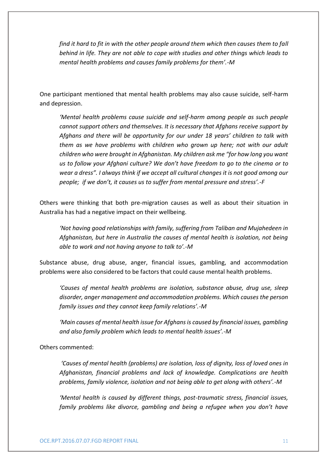*find it hard to fit in with the other people around them which then causes them to fall behind in life. They are not able to cope with studies and other things which leads to mental health problems and causes family problems for them'.-M*

One participant mentioned that mental health problems may also cause suicide, self-harm and depression.

*'Mental health problems cause suicide and self-harm among people as such people cannot support others and themselves. It is necessary that Afghans receive support by Afghans and there will be opportunity for our under 18 years' children to talk with them as we have problems with children who grown up here; not with our adult children who were brought in Afghanistan. My children ask me "for how long you want us to follow your Afghani culture? We don't have freedom to go to the cinema or to wear a dress". I always think if we accept all cultural changes it is not good among our people; if we don't, it causes us to suffer from mental pressure and stress'.-F*

Others were thinking that both pre-migration causes as well as about their situation in Australia has had a negative impact on their wellbeing.

*'Not having good relationships with family, suffering from Taliban and Mujahedeen in Afghanistan, but here in Australia the causes of mental health is isolation, not being able to work and not having anyone to talk to'.-M*

Substance abuse, drug abuse, anger, financial issues, gambling, and accommodation problems were also considered to be factors that could cause mental health problems.

*'Causes of mental health problems are isolation, substance abuse, drug use, sleep disorder, anger management and accommodation problems. Which causes the person family issues and they cannot keep family relations'.-M*

*'Main causes of mental health issue for Afghans is caused by financial issues, gambling and also family problem which leads to mental health issues'.-M*

Others commented:

*'Causes of mental health (problems) are isolation, loss of dignity, loss of loved ones in Afghanistan, financial problems and lack of knowledge. Complications are health problems, family violence, isolation and not being able to get along with others'.-M*

*'Mental health is caused by different things, post-traumatic stress, financial issues, family problems like divorce, gambling and being a refugee when you don't have*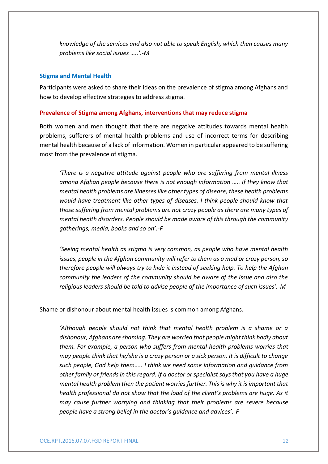*knowledge of the services and also not able to speak English, which then causes many problems like social issues …..'.-M*

#### **Stigma and Mental Health**

Participants were asked to share their ideas on the prevalence of stigma among Afghans and how to develop effective strategies to address stigma.

#### **Prevalence of Stigma among Afghans, interventions that may reduce stigma**

Both women and men thought that there are negative attitudes towards mental health problems, sufferers of mental health problems and use of incorrect terms for describing mental health because of a lack of information. Women in particular appeared to be suffering most from the prevalence of stigma.

*'There is a negative attitude against people who are suffering from mental illness among Afghan people because there is not enough information ….. If they know that mental health problems are illnesses like other types of disease, these health problems would have treatment like other types of diseases. I think people should know that those suffering from mental problems are not crazy people as there are many types of mental health disorders. People should be made aware of this through the community gatherings, media, books and so on'.-F*

*'Seeing mental health as stigma is very common, as people who have mental health issues, people in the Afghan community will refer to them as a mad or crazy person, so therefore people will always try to hide it instead of seeking help. To help the Afghan community the leaders of the community should be aware of the issue and also the religious leaders should be told to advise people of the importance of such issues'.-M*

Shame or dishonour about mental health issues is common among Afghans.

*'Although people should not think that mental health problem is a shame or a dishonour, Afghans are shaming. They are worried that people might think badly about them. For example, a person who suffers from mental health problems worries that may people think that he/she is a crazy person or a sick person. It is difficult to change such people, God help them….. I think we need some information and guidance from other family or friends in this regard. If a doctor or specialist says that you have a huge mental health problem then the patient worries further. This is why it is important that health professional do not show that the load of the client's problems are huge. As it may cause further worrying and thinking that their problems are severe because people have a strong belief in the doctor's guidance and advices'.-F*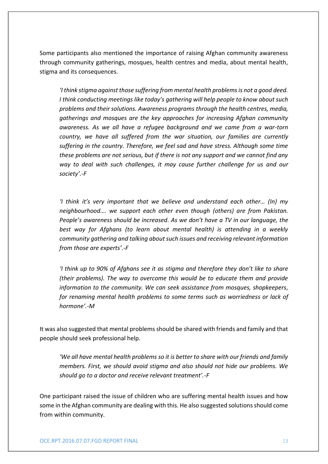Some participants also mentioned the importance of raising Afghan community awareness through community gatherings, mosques, health centres and media, about mental health, stigma and its consequences.

*'I think stigma against those suffering from mental health problems is not a good deed. I think conducting meetings like today's gathering will help people to know about such problems and their solutions. Awareness programs through the health centres, media, gatherings and mosques are the key approaches for increasing Afghan community awareness. As we all have a refugee background and we came from a war-torn country, we have all suffered from the war situation, our families are currently suffering in the country. Therefore, we feel sad and have stress. Although some time these problems are not serious, but if there is not any support and we cannot find any way to deal with such challenges, it may cause further challenge for us and our society'.-F*

*'I think it's very important that we believe and understand each other… (In) my neighbourhood…. we support each other even though (others) are from Pakistan. People's awareness should be increased. As we don't have a TV in our language, the best way for Afghans (to learn about mental health) is attending in a weekly community gathering and talking about such issues and receiving relevant information from those are experts'.-F*

*'I think up to 90% of Afghans see it as stigma and therefore they don't like to share (their problems). The way to overcome this would be to educate them and provide information to the community. We can seek assistance from mosques, shopkeepers, for renaming mental health problems to some terms such as worriedness or lack of hormone'.-M*

It was also suggested that mental problems should be shared with friends and family and that people should seek professional help.

*'We all have mental health problems so it is better to share with our friends and family members. First, we should avoid stigma and also should not hide our problems. We should go to a doctor and receive relevant treatment'.-F*

One participant raised the issue of children who are suffering mental health issues and how some in the Afghan community are dealing with this. He also suggested solutions should come from within community.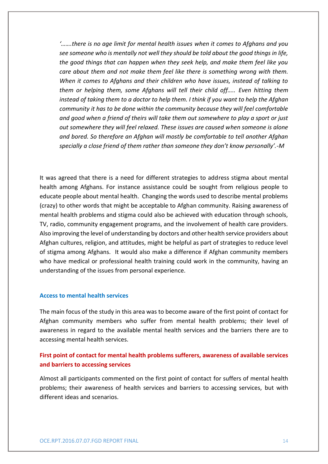*'…….there is no age limit for mental health issues when it comes to Afghans and you see someone who is mentally not well they should be told about the good things in life, the good things that can happen when they seek help, and make them feel like you care about them and not make them feel like there is something wrong with them. When it comes to Afghans and their children who have issues, instead of talking to them or helping them, some Afghans will tell their child off….. Even hitting them instead of taking them to a doctor to help them. I think if you want to help the Afghan community it has to be done within the community because they will feel comfortable and good when a friend of theirs will take them out somewhere to play a sport or just out somewhere they will feel relaxed. These issues are caused when someone is alone and bored. So therefore an Afghan will mostly be comfortable to tell another Afghan specially a close friend of them rather than someone they don't know personally'.-M*

It was agreed that there is a need for different strategies to address stigma about mental health among Afghans. For instance assistance could be sought from religious people to educate people about mental health. Changing the words used to describe mental problems (crazy) to other words that might be acceptable to Afghan community. Raising awareness of mental health problems and stigma could also be achieved with education through schools, TV, radio, community engagement programs, and the involvement of health care providers. Also improving the level of understanding by doctors and other health service providers about Afghan cultures, religion, and attitudes, might be helpful as part of strategies to reduce level of stigma among Afghans. It would also make a difference if Afghan community members who have medical or professional health training could work in the community, having an understanding of the issues from personal experience.

#### **Access to mental health services**

The main focus of the study in this area was to become aware of the first point of contact for Afghan community members who suffer from mental health problems; their level of awareness in regard to the available mental health services and the barriers there are to accessing mental health services.

# **First point of contact for mental health problems sufferers, awareness of available services and barriers to accessing services**

Almost all participants commented on the first point of contact for suffers of mental health problems; their awareness of health services and barriers to accessing services, but with different ideas and scenarios.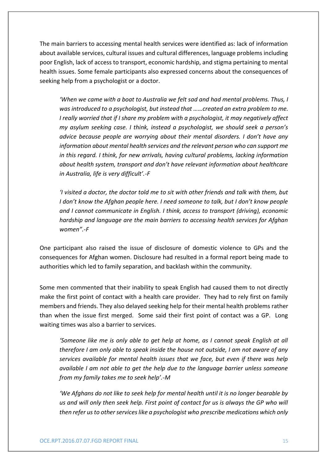The main barriers to accessing mental health services were identified as: lack of information about available services, cultural issues and cultural differences, language problems including poor English, lack of access to transport, economic hardship, and stigma pertaining to mental health issues. Some female participants also expressed concerns about the consequences of seeking help from a psychologist or a doctor.

*'When we came with a boat to Australia we felt sad and had mental problems. Thus, I was introduced to a psychologist, but instead that ……created an extra problem to me. I really worried that if I share my problem with a psychologist, it may negatively affect my asylum seeking case. I think, instead a psychologist, we should seek a person's advice because people are worrying about their mental disorders. I don't have any information about mental health services and the relevant person who can support me in this regard. I think, for new arrivals, having cultural problems, lacking information about health system, transport and don't have relevant information about healthcare in Australia, life is very difficult'.-F*

*'I visited a doctor, the doctor told me to sit with other friends and talk with them, but I don't know the Afghan people here. I need someone to talk, but I don't know people and I cannot communicate in English. I think, access to transport (driving), economic hardship and language are the main barriers to accessing health services for Afghan women".-F*

One participant also raised the issue of disclosure of domestic violence to GPs and the consequences for Afghan women. Disclosure had resulted in a formal report being made to authorities which led to family separation, and backlash within the community.

Some men commented that their inability to speak English had caused them to not directly make the first point of contact with a health care provider. They had to rely first on family members and friends. They also delayed seeking help for their mental health problems rather than when the issue first merged. Some said their first point of contact was a GP. Long waiting times was also a barrier to services.

*'Someone like me is only able to get help at home, as I cannot speak English at all therefore I am only able to speak inside the house not outside, I am not aware of any services available for mental health issues that we face, but even if there was help available I am not able to get the help due to the language barrier unless someone from my family takes me to seek help'.-M*

*'We Afghans do not like to seek help for mental health until it is no longer bearable by us and will only then seek help. First point of contact for us is always the GP who will then refer us to other services like a psychologist who prescribe medications which only*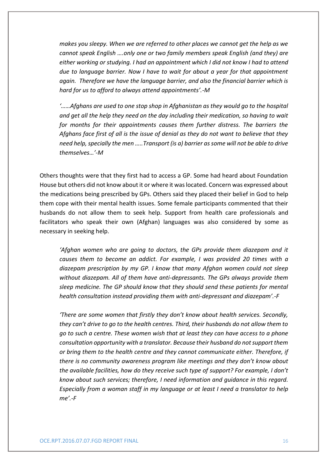*makes you sleepy. When we are referred to other places we cannot get the help as we cannot speak English ….only one or two family members speak English (and they) are either working or studying. I had an appointment which I did not know I had to attend due to language barrier. Now I have to wait for about a year for that appointment again. Therefore we have the language barrier, and also the financial barrier which is hard for us to afford to always attend appointments'.-M*

*'……Afghans are used to one stop shop in Afghanistan as they would go to the hospital and get all the help they need on the day including their medication, so having to wait for months for their appointments causes them further distress. The barriers the Afghans face first of all is the issue of denial as they do not want to believe that they need help, specially the men …..Transport (is a) barrier as some will not be able to drive themselves…'-M*

Others thoughts were that they first had to access a GP. Some had heard about Foundation House but others did not know about it or where it was located. Concern was expressed about the medications being prescribed by GPs. Others said they placed their belief in God to help them cope with their mental health issues. Some female participants commented that their husbands do not allow them to seek help. Support from health care professionals and facilitators who speak their own (Afghan) languages was also considered by some as necessary in seeking help.

*'Afghan women who are going to doctors, the GPs provide them diazepam and it causes them to become an addict. For example, I was provided 20 times with a diazepam prescription by my GP. I know that many Afghan women could not sleep without diazepam. All of them have anti-depressants. The GPs always provide them sleep medicine. The GP should know that they should send these patients for mental health consultation instead providing them with anti-depressant and diazepam'.-F*

*'There are some women that firstly they don't know about health services. Secondly, they can't drive to go to the health centres. Third, their husbands do not allow them to go to such a centre. These women wish that at least they can have access to a phone consultation opportunity with a translator. Because their husband do not support them or bring them to the health centre and they cannot communicate either. Therefore, if there is no community awareness program like meetings and they don't know about the available facilities, how do they receive such type of support? For example, I don't know about such services; therefore, I need information and guidance in this regard. Especially from a woman staff in my language or at least I need a translator to help me'.-F*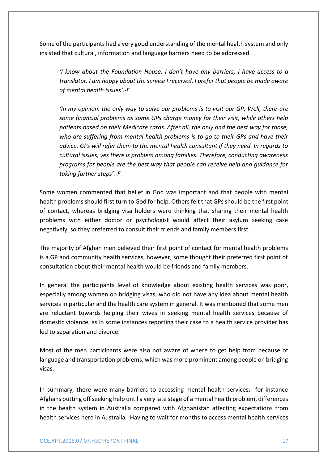Some of the participants had a very good understanding of the mental health system and only insisted that cultural, information and language barriers need to be addressed.

*'I know about the Foundation House. I don't have any barriers, I have access to a translator. I am happy about the service I received. I prefer that people be made aware of mental health issues'.-F*

*'In my opinion, the only way to solve our problems is to visit our GP. Well, there are some financial problems as some GPs charge money for their visit, while others help patients based on their Medicare cards. After all, the only and the best way for those, who are suffering from mental health problems is to go to their GPs and have their advice. GPs will refer them to the mental health consultant if they need. In regards to cultural issues, yes there is problem among families. Therefore, conducting awareness programs for people are the best way that people can receive help and guidance for taking further steps'.-F*

Some women commented that belief in God was important and that people with mental health problems should first turn to God for help. Others felt that GPs should be the first point of contact, whereas bridging visa holders were thinking that sharing their mental health problems with either doctor or psychologist would affect their asylum seeking case negatively, so they preferred to consult their friends and family members first.

The majority of Afghan men believed their first point of contact for mental health problems is a GP and community health services, however, some thought their preferred first point of consultation about their mental health would be friends and family members.

In general the participants level of knowledge about existing health services was poor, especially among women on bridging visas, who did not have any idea about mental health services in particular and the health care system in general. It was mentioned that some men are reluctant towards helping their wives in seeking mental health services because of domestic violence, as in some instances reporting their case to a health service provider has led to separation and divorce.

Most of the men participants were also not aware of where to get help from because of language and transportation problems, which was more prominent among people on bridging visas.

In summary, there were many barriers to accessing mental health services: for instance Afghans putting off seeking help until a very late stage of a mental health problem, differences in the health system in Australia compared with Afghanistan affecting expectations from health services here in Australia. Having to wait for months to access mental health services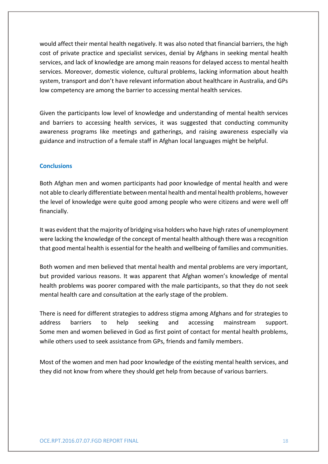would affect their mental health negatively. It was also noted that financial barriers, the high cost of private practice and specialist services, denial by Afghans in seeking mental health services, and lack of knowledge are among main reasons for delayed access to mental health services. Moreover, domestic violence, cultural problems, lacking information about health system, transport and don't have relevant information about healthcare in Australia, and GPs low competency are among the barrier to accessing mental health services.

Given the participants low level of knowledge and understanding of mental health services and barriers to accessing health services, it was suggested that conducting community awareness programs like meetings and gatherings, and raising awareness especially via guidance and instruction of a female staff in Afghan local languages might be helpful.

# **Conclusions**

Both Afghan men and women participants had poor knowledge of mental health and were not able to clearly differentiate between mental health and mental health problems, however the level of knowledge were quite good among people who were citizens and were well off financially.

It was evident that the majority of bridging visa holders who have high rates of unemployment were lacking the knowledge of the concept of mental health although there was a recognition that good mental health is essential for the health and wellbeing of families and communities.

Both women and men believed that mental health and mental problems are very important, but provided various reasons. It was apparent that Afghan women's knowledge of mental health problems was poorer compared with the male participants, so that they do not seek mental health care and consultation at the early stage of the problem.

There is need for different strategies to address stigma among Afghans and for strategies to address barriers to help seeking and accessing mainstream support. Some men and women believed in God as first point of contact for mental health problems, while others used to seek assistance from GPs, friends and family members.

Most of the women and men had poor knowledge of the existing mental health services, and they did not know from where they should get help from because of various barriers.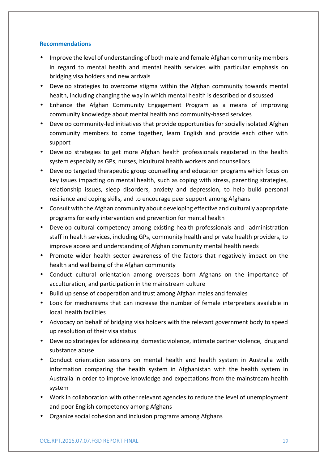# **Recommendations**

- Improve the level of understanding of both male and female Afghan community members in regard to mental health and mental health services with particular emphasis on bridging visa holders and new arrivals
- Develop strategies to overcome stigma within the Afghan community towards mental health, including changing the way in which mental health is described or discussed
- Enhance the Afghan Community Engagement Program as a means of improving community knowledge about mental health and community-based services
- Develop community-led initiatives that provide opportunities for socially isolated Afghan community members to come together, learn English and provide each other with support
- Develop strategies to get more Afghan health professionals registered in the health system especially as GPs, nurses, bicultural health workers and counsellors
- Develop targeted therapeutic group counselling and education programs which focus on key issues impacting on mental health, such as coping with stress, parenting strategies, relationship issues, sleep disorders, anxiety and depression, to help build personal resilience and coping skills, and to encourage peer support among Afghans
- Consult with the Afghan community about developing effective and culturally appropriate programs for early intervention and prevention for mental health
- Develop cultural competency among existing health professionals and administration staff in health services, including GPs, community health and private health providers, to improve access and understanding of Afghan community mental health needs
- Promote wider health sector awareness of the factors that negatively impact on the health and wellbeing of the Afghan community
- Conduct cultural orientation among overseas born Afghans on the importance of acculturation, and participation in the mainstream culture
- Build up sense of cooperation and trust among Afghan males and females
- Look for mechanisms that can increase the number of female interpreters available in local health facilities
- Advocacy on behalf of bridging visa holders with the relevant government body to speed up resolution of their visa status
- Develop strategies for addressing domestic violence, intimate partner violence, drug and substance abuse
- Conduct orientation sessions on mental health and health system in Australia with information comparing the health system in Afghanistan with the health system in Australia in order to improve knowledge and expectations from the mainstream health system
- Work in collaboration with other relevant agencies to reduce the level of unemployment and poor English competency among Afghans
- Organize social cohesion and inclusion programs among Afghans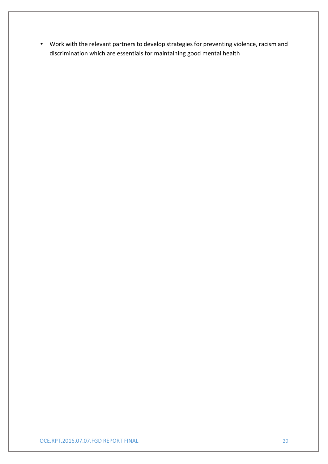Work with the relevant partners to develop strategies for preventing violence, racism and discrimination which are essentials for maintaining good mental health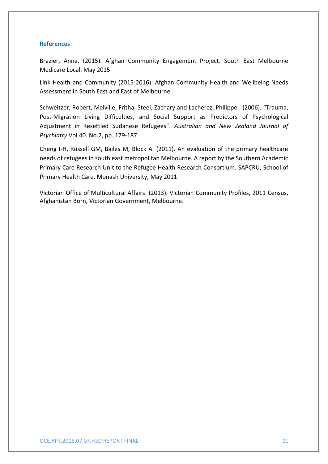#### **References**

Brazier, Anna. (2015). Afghan Community Engagement Project. South East Melbourne Medicare Local. May 2015

Link Health and Community (2015-2016). Afghan Community Health and Wellbeing Needs Assessment in South East and East of Melbourne

Schweitzer, Robert, Melville, Fritha, Steel, Zachary and Lacherez, Philippe. (2006). "Trauma, Post-Migration Living Difficulties, and Social Support as Predictors of Psychological Adjustment in Resettled Sudanese Refugees". *Australian and New Zealand Journal of Psychiatry* Vol.40. No.2, pp. 179-187.

Cheng I-H, Russell GM, Bailes M, Block A. (2011). An evaluation of the primary healthcare needs of refugees in south east metropolitan Melbourne. A report by the Southern Academic Primary Care Research Unit to the Refugee Health Research Consortium. SAPCRU, School of Primary Health Care, Monash University, May 2011

Victorian Office of Multicultural Affairs. (2013). Victorian Community Profiles, 2011 Census, Afghanistan Born, Victorian Government, Melbourne.